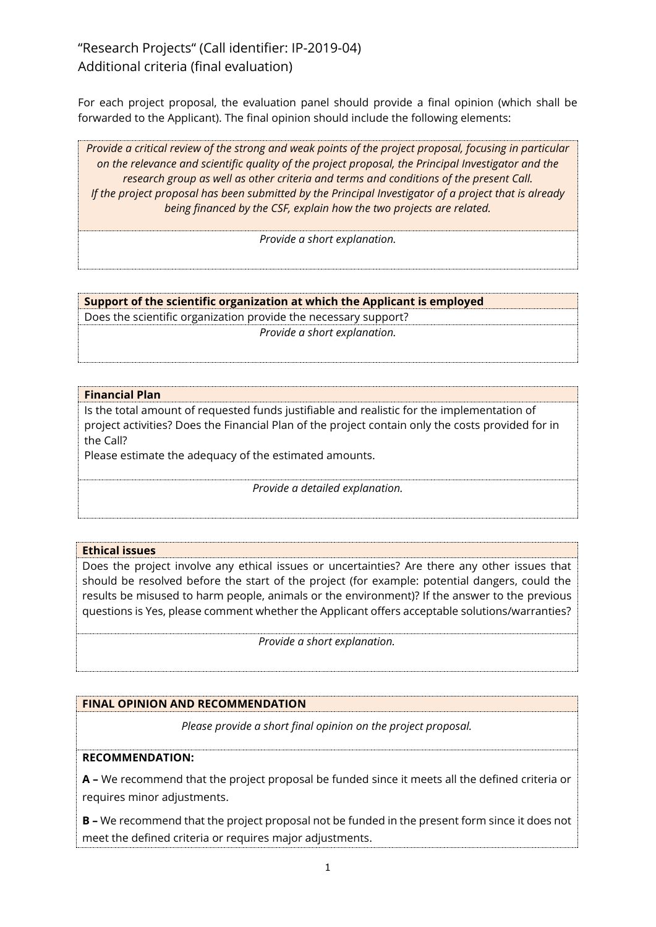# "Research Projects" (Call identifier: IP-2019-04) Additional criteria (final evaluation)

For each project proposal, the evaluation panel should provide a final opinion (which shall be forwarded to the Applicant). The final opinion should include the following elements:

*Provide a critical review of the strong and weak points of the project proposal, focusing in particular on the relevance and scientific quality of the project proposal, the Principal Investigator and the research group as well as other criteria and terms and conditions of the present Call. If the project proposal has been submitted by the Principal Investigator of a project that is already being financed by the CSF, explain how the two projects are related.*

*Provide a short explanation.*

**Support of the scientific organization at which the Applicant is employed**

Does the scientific organization provide the necessary support? *Provide a short explanation.*

## **Financial Plan**

Is the total amount of requested funds justifiable and realistic for the implementation of project activities? Does the Financial Plan of the project contain only the costs provided for in the Call?

Please estimate the adequacy of the estimated amounts.

*Provide a detailed explanation.*

#### **Ethical issues**

Does the project involve any ethical issues or uncertainties? Are there any other issues that should be resolved before the start of the project (for example: potential dangers, could the results be misused to harm people, animals or the environment)? If the answer to the previous questions is Yes, please comment whether the Applicant offers acceptable solutions/warranties?

*Provide a short explanation.*

## **FINAL OPINION AND RECOMMENDATION**

*Please provide a short final opinion on the project proposal.*

### **RECOMMENDATION:**

**A –** We recommend that the project proposal be funded since it meets all the defined criteria or requires minor adjustments.

**B –** We recommend that the project proposal not be funded in the present form since it does not meet the defined criteria or requires major adjustments.